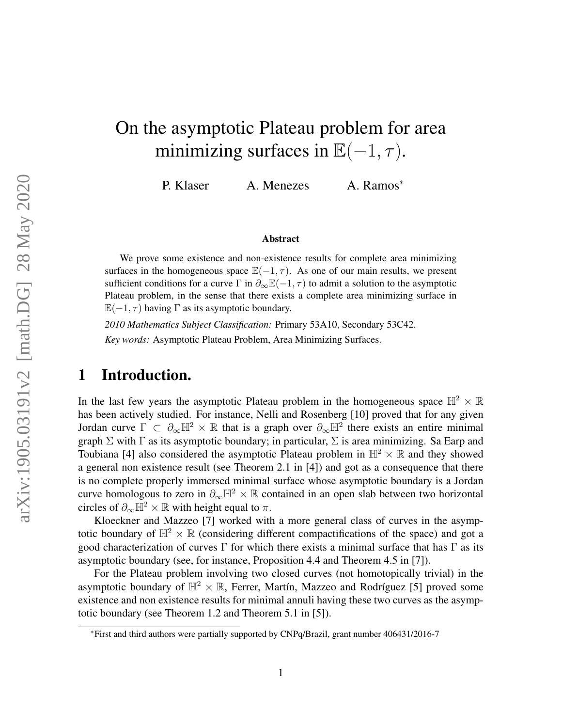# On the asymptotic Plateau problem for area minimizing surfaces in  $\mathbb{E}(-1, \tau)$ .

P. Klaser A. Menezes A. Ramos<sup>\*</sup>

#### Abstract

We prove some existence and non-existence results for complete area minimizing surfaces in the homogeneous space  $\mathbb{E}(-1, \tau)$ . As one of our main results, we present sufficient conditions for a curve  $\Gamma$  in  $\partial_{\infty} \mathbb{E}(-1, \tau)$  to admit a solution to the asymptotic Plateau problem, in the sense that there exists a complete area minimizing surface in  $\mathbb{E}(-1, \tau)$  having  $\Gamma$  as its asymptotic boundary.

*2010 Mathematics Subject Classification:* Primary 53A10, Secondary 53C42. *Key words:* Asymptotic Plateau Problem, Area Minimizing Surfaces.

### 1 Introduction.

In the last few years the asymptotic Plateau problem in the homogeneous space  $\mathbb{H}^2 \times \mathbb{R}$ has been actively studied. For instance, Nelli and Rosenberg [\[10\]](#page-18-0) proved that for any given Jordan curve  $\Gamma \subset \partial_{\infty} \mathbb{H}^2 \times \mathbb{R}$  that is a graph over  $\partial_{\infty} \mathbb{H}^2$  there exists an entire minimal graph  $\Sigma$  with  $\Gamma$  as its asymptotic boundary; in particular,  $\Sigma$  is area minimizing. Sa Earp and Toubiana [\[4\]](#page-17-0) also considered the asymptotic Plateau problem in  $\mathbb{H}^2 \times \mathbb{R}$  and they showed a general non existence result (see Theorem 2.1 in [\[4\]](#page-17-0)) and got as a consequence that there is no complete properly immersed minimal surface whose asymptotic boundary is a Jordan curve homologous to zero in  $\partial_{\infty} \mathbb{H}^2 \times \mathbb{R}$  contained in an open slab between two horizontal circles of  $\partial_{\infty} \mathbb{H}^2 \times \mathbb{R}$  with height equal to  $\pi$ .

Kloeckner and Mazzeo [\[7\]](#page-18-1) worked with a more general class of curves in the asymptotic boundary of  $\mathbb{H}^2 \times \mathbb{R}$  (considering different compactifications of the space) and got a good characterization of curves  $\Gamma$  for which there exists a minimal surface that has  $\Gamma$  as its asymptotic boundary (see, for instance, Proposition 4.4 and Theorem 4.5 in [\[7\]](#page-18-1)).

For the Plateau problem involving two closed curves (not homotopically trivial) in the asymptotic boundary of  $\mathbb{H}^2 \times \mathbb{R}$ , Ferrer, Martín, Mazzeo and Rodríguez [\[5\]](#page-17-1) proved some existence and non existence results for minimal annuli having these two curves as the asymptotic boundary (see Theorem 1.2 and Theorem 5.1 in [\[5\]](#page-17-1)).

<sup>∗</sup>First and third authors were partially supported by CNPq/Brazil, grant number 406431/2016-7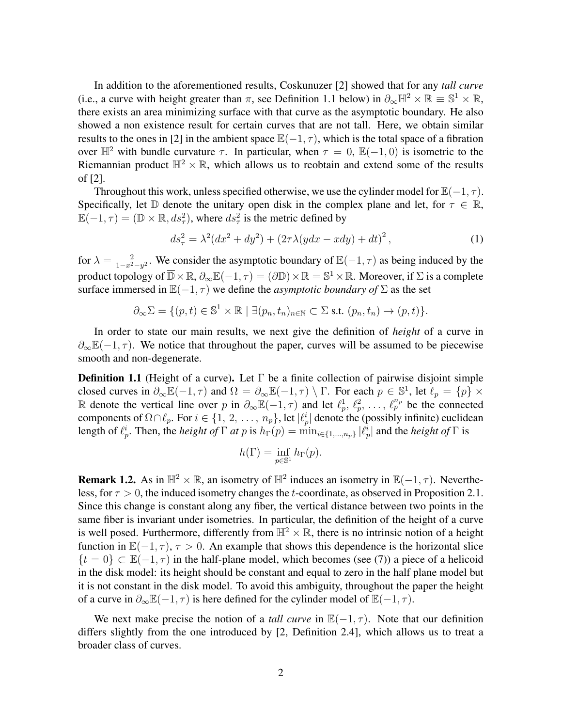In addition to the aforementioned results, Coskunuzer [\[2\]](#page-17-2) showed that for any *tall curve* (i.e., a curve with height greater than  $\pi$ , see Definition [1.1](#page-1-0) below) in  $\partial_{\infty} \mathbb{H}^2 \times \mathbb{R} \equiv \mathbb{S}^1 \times \mathbb{R}$ , there exists an area minimizing surface with that curve as the asymptotic boundary. He also showed a non existence result for certain curves that are not tall. Here, we obtain similar results to the ones in [\[2\]](#page-17-2) in the ambient space  $\mathbb{E}(-1, \tau)$ , which is the total space of a fibration over  $\mathbb{H}^2$  with bundle curvature  $\tau$ . In particular, when  $\tau = 0$ ,  $\mathbb{E}(-1,0)$  is isometric to the Riemannian product  $\mathbb{H}^2 \times \mathbb{R}$ , which allows us to reobtain and extend some of the results of [\[2\]](#page-17-2).

Throughout this work, unless specified otherwise, we use the cylinder model for  $\mathbb{E}(-1, \tau)$ . Specifically, let D denote the unitary open disk in the complex plane and let, for  $\tau \in \mathbb{R}$ ,  $\mathbb{E}(-1,\tau) = (\mathbb{D} \times \mathbb{R}, ds_{\tau}^2)$ , where  $ds_{\tau}^2$  is the metric defined by

<span id="page-1-1"></span>
$$
ds_{\tau}^{2} = \lambda^{2} (dx^{2} + dy^{2}) + (2\tau \lambda (y dx - x dy) + dt)^{2},
$$
\n(1)

for  $\lambda = \frac{2}{1 - x^2}$  $\frac{2}{1-x^2-y^2}$ . We consider the asymptotic boundary of  $\mathbb{E}(-1, \tau)$  as being induced by the product topology of  $\overline{\mathbb{D}} \times \mathbb{R}$ ,  $\partial_{\infty} \mathbb{E}(-1, \tau) = (\partial \mathbb{D}) \times \mathbb{R} = \mathbb{S}^1 \times \mathbb{R}$ . Moreover, if  $\Sigma$  is a complete surface immersed in  $\mathbb{E}(-1, \tau)$  we define the *asymptotic boundary of*  $\Sigma$  as the set

$$
\partial_{\infty} \Sigma = \{ (p, t) \in \mathbb{S}^1 \times \mathbb{R} \mid \exists (p_n, t_n)_{n \in \mathbb{N}} \subset \Sigma \text{ s.t. } (p_n, t_n) \to (p, t) \}.
$$

In order to state our main results, we next give the definition of *height* of a curve in  $\partial_{\infty} \mathbb{E}(-1, \tau)$ . We notice that throughout the paper, curves will be assumed to be piecewise smooth and non-degenerate.

<span id="page-1-0"></span>**Definition 1.1** (Height of a curve). Let  $\Gamma$  be a finite collection of pairwise disjoint simple closed curves in  $\partial_{\infty} \mathbb{E}(-1, \tau)$  and  $\Omega = \partial_{\infty} \mathbb{E}(-1, \tau) \setminus \Gamma$ . For each  $p \in \mathbb{S}^1$ , let  $\ell_p = \{p\} \times$ R denote the vertical line over p in  $\partial_{\infty} \mathbb{E}(-1, \tau)$  and let  $\ell_p^1, \ell_p^2, \ldots, \ell_p^{n_p}$  be the connected components of  $\Omega \cap \ell_p$ . For  $i \in \{1, 2, \ldots, n_p\}$ , let  $|\ell_p^i|$  denote the (possibly infinite) euclidean length of  $\ell_p^i$ . Then, the *height of*  $\Gamma$  *at* p is  $h_{\Gamma}(p) = \min_{i \in \{1,...,n_p\}} |\ell_p^i|$  and the *height of*  $\Gamma$  is

$$
h(\Gamma) = \inf_{p \in \mathbb{S}^1} h_{\Gamma}(p).
$$

**Remark 1.2.** As in  $\mathbb{H}^2 \times \mathbb{R}$ , an isometry of  $\mathbb{H}^2$  induces an isometry in  $\mathbb{E}(-1, \tau)$ . Nevertheless, for  $\tau > 0$ , the induced isometry changes the t-coordinate, as observed in Proposition [2.1.](#page-3-0) Since this change is constant along any fiber, the vertical distance between two points in the same fiber is invariant under isometries. In particular, the definition of the height of a curve is well posed. Furthermore, differently from  $\mathbb{H}^2 \times \mathbb{R}$ , there is no intrinsic notion of a height function in  $\mathbb{E}(-1, \tau)$ ,  $\tau > 0$ . An example that shows this dependence is the horizontal slice  $\{t = 0\} \subset \mathbb{E}(-1, \tau)$  in the half-plane model, which becomes (see [\(7\)](#page-6-0)) a piece of a helicoid in the disk model: its height should be constant and equal to zero in the half plane model but it is not constant in the disk model. To avoid this ambiguity, throughout the paper the height of a curve in  $\partial_{\infty} \mathbb{E}(-1, \tau)$  is here defined for the cylinder model of  $\mathbb{E}(-1, \tau)$ .

We next make precise the notion of a *tall curve* in  $\mathbb{E}(-1, \tau)$ . Note that our definition differs slightly from the one introduced by [\[2,](#page-17-2) Definition 2.4], which allows us to treat a broader class of curves.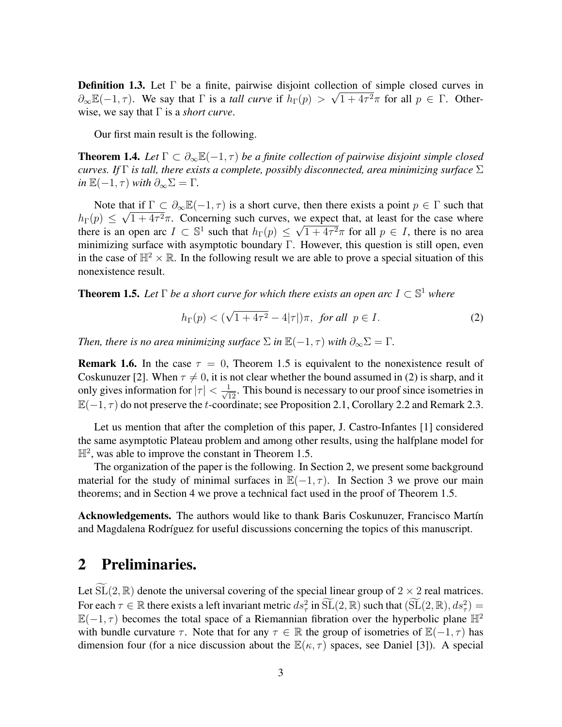**Definition 1.3.** Let  $\Gamma$  be a finite, pairwise disjoint collection of simple closed curves in  $\partial_{\infty} \mathbb{E}(-1, \tau)$ . We say that  $\Gamma$  is a *tall curve* if  $h_{\Gamma}(p) > \sqrt{1 + 4\tau^2}\pi$  for all  $p \in \Gamma$ . Otherwise, we say that Γ is a *short curve*.

Our first main result is the following.

<span id="page-2-3"></span>**Theorem 1.4.** Let  $\Gamma \subset \partial_{\infty} \mathbb{E}(-1, \tau)$  *be a finite collection of pairwise disjoint simple closed curves. If* Γ *is tall, there exists a complete, possibly disconnected, area minimizing surface* Σ  $in \mathbb{E}(-1, \tau)$  *with*  $\partial_{\infty} \Sigma = \Gamma$ .

Note that if  $\Gamma \subset \partial_{\infty} \mathbb{E}(-1, \tau)$  is a short curve, then there exists a point  $p \in \Gamma$  such that  $h_{\Gamma}(p) \leq \sqrt{1 + 4\tau^2}\pi$ . Concerning such curves, we expect that, at least for the case where there is an open arc  $I \subset \mathbb{S}^1$  such that  $h_{\Gamma}(p) \leq$ √  $1 + 4\tau^2 \pi$  for all  $p \in I$ , there is no area minimizing surface with asymptotic boundary Γ. However, this question is still open, even in the case of  $\mathbb{H}^2 \times \mathbb{R}$ . In the following result we are able to prove a special situation of this nonexistence result.

<span id="page-2-0"></span>**Theorem 1.5.** Let  $\Gamma$  be a short curve for which there exists an open arc  $I \subset \mathbb{S}^1$  where

<span id="page-2-1"></span>
$$
h_{\Gamma}(p) < (\sqrt{1+4\tau^2} - 4|\tau|)\pi
$$
, for all  $p \in I$ . (2)

*Then, there is no area minimizing surface*  $\Sigma$  *in*  $\mathbb{E}(-1, \tau)$  *with*  $\partial_{\infty} \Sigma = \Gamma$ *.* 

**Remark 1.6.** In the case  $\tau = 0$ , Theorem [1.5](#page-2-0) is equivalent to the nonexistence result of Coskunuzer [\[2\]](#page-17-2). When  $\tau \neq 0$ , it is not clear whether the bound assumed in [\(2\)](#page-2-1) is sharp, and it only gives information for  $|\tau| < \frac{1}{\sqrt{12}}$ . This bound is necessary to our proof since isometries in  $\mathbb{E}(-1, \tau)$  do not preserve the t-coordinate; see Proposition [2.1,](#page-3-0) Corollary [2.2](#page-3-1) and Remark [2.3.](#page-4-0)

Let us mention that after the completion of this paper, J. Castro-Infantes [\[1\]](#page-17-3) considered the same asymptotic Plateau problem and among other results, using the halfplane model for  $\mathbb{H}^2$ , was able to improve the constant in Theorem [1.5.](#page-2-0)

The organization of the paper is the following. In Section [2,](#page-2-2) we present some background material for the study of minimal surfaces in  $\mathbb{E}(-1, \tau)$ . In Section [3](#page-7-0) we prove our main theorems; and in Section [4](#page-12-0) we prove a technical fact used in the proof of Theorem [1.5.](#page-2-0)

Acknowledgements. The authors would like to thank Baris Coskunuzer, Francisco Martín and Magdalena Rodríguez for useful discussions concerning the topics of this manuscript.

### <span id="page-2-2"></span>2 Preliminaries.

Let  $SL(2, \mathbb{R})$  denote the universal covering of the special linear group of  $2 \times 2$  real matrices. For each  $\tau \in \mathbb{R}$  there exists a left invariant metric  $ds^2_\tau$  in  $\widetilde{\mathrm{SL}}(2,\mathbb{R})$  such that  $(\widetilde{\mathrm{SL}}(2,\mathbb{R}), ds^2_\tau) =$  $\mathbb{E}(-1, \tau)$  becomes the total space of a Riemannian fibration over the hyperbolic plane  $\mathbb{H}^2$ with bundle curvature  $\tau$ . Note that for any  $\tau \in \mathbb{R}$  the group of isometries of  $\mathbb{E}(-1, \tau)$  has dimension four (for a nice discussion about the  $\mathbb{E}(\kappa, \tau)$  spaces, see Daniel [\[3\]](#page-17-4)). A special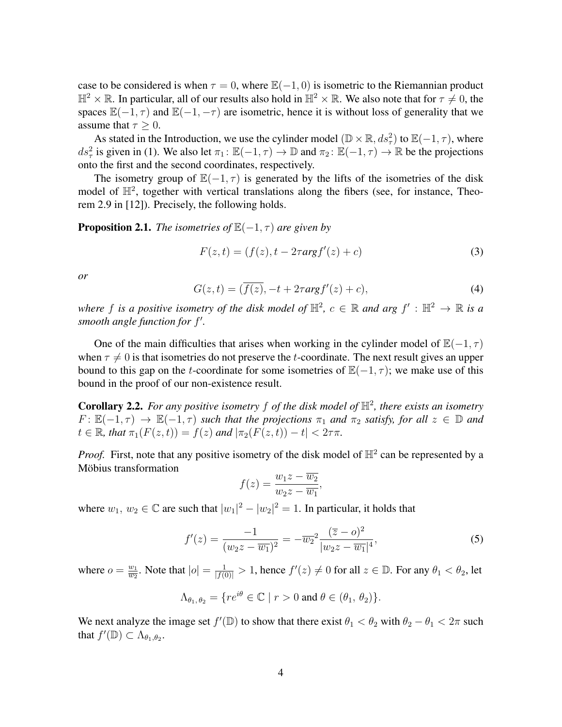case to be considered is when  $\tau = 0$ , where  $\mathbb{E}(-1, 0)$  is isometric to the Riemannian product  $\mathbb{H}^2 \times \mathbb{R}$ . In particular, all of our results also hold in  $\mathbb{H}^2 \times \mathbb{R}$ . We also note that for  $\tau \neq 0$ , the spaces  $\mathbb{E}(-1, \tau)$  and  $\mathbb{E}(-1, -\tau)$  are isometric, hence it is without loss of generality that we assume that  $\tau \geq 0$ .

As stated in the Introduction, we use the cylinder model  $(\mathbb{D} \times \mathbb{R}, ds_\tau^2)$  to  $\mathbb{E}(-1, \tau)$ , where ds<sup>2</sup> is given in [\(1\)](#page-1-1). We also let  $\pi_1: \mathbb{E}(-1, \tau) \to \mathbb{D}$  and  $\pi_2: \mathbb{E}(-1, \tau) \to \mathbb{R}$  be the projections onto the first and the second coordinates, respectively.

The isometry group of  $\mathbb{E}(-1, \tau)$  is generated by the lifts of the isometries of the disk model of  $\mathbb{H}^2$ , together with vertical translations along the fibers (see, for instance, Theorem 2.9 in [\[12\]](#page-18-2)). Precisely, the following holds.

<span id="page-3-0"></span>**Proposition 2.1.** *The isometries of*  $\mathbb{E}(-1, \tau)$  *are given by* 

<span id="page-3-3"></span>
$$
F(z,t) = (f(z), t - 2\tau \arg f'(z) + c)
$$
\n(3)

*or*

$$
G(z,t) = (\overline{f(z)}, -t + 2\tau arg f'(z) + c), \tag{4}
$$

*where* f is a positive isometry of the disk model of  $\mathbb{H}^2$ ,  $c \in \mathbb{R}$  and arg  $f' : \mathbb{H}^2 \to \mathbb{R}$  is a smooth angle function for f'.

One of the main difficulties that arises when working in the cylinder model of  $\mathbb{E}(-1, \tau)$ when  $\tau \neq 0$  is that isometries do not preserve the t-coordinate. The next result gives an upper bound to this gap on the t-coordinate for some isometries of  $\mathbb{E}(-1, \tau)$ ; we make use of this bound in the proof of our non-existence result.

<span id="page-3-1"></span>**Corollary 2.2.** For any positive isometry  $f$  of the disk model of  $\mathbb{H}^2$ , there exists an isometry  $F: \mathbb{E}(-1, \tau) \to \mathbb{E}(-1, \tau)$  *such that the projections*  $\pi_1$  *and*  $\pi_2$  *satisfy, for all*  $z \in \mathbb{D}$  *and*  $t \in \mathbb{R}$ , that  $\pi_1(F(z,t)) = f(z)$  and  $|\pi_2(F(z,t)) - t| < 2\tau\pi$ .

*Proof.* First, note that any positive isometry of the disk model of  $\mathbb{H}^2$  can be represented by a Möbius transformation

<span id="page-3-2"></span>
$$
f(z) = \frac{w_1 z - \overline{w_2}}{w_2 z - \overline{w_1}},
$$

where  $w_1, w_2 \in \mathbb{C}$  are such that  $|w_1|^2 - |w_2|^2 = 1$ . In particular, it holds that

$$
f'(z) = \frac{-1}{(w_2 z - \overline{w_1})^2} = -\overline{w_2}^2 \frac{(\overline{z} - o)^2}{|w_2 z - \overline{w_1}|^4},\tag{5}
$$

where  $o = \frac{w_1}{w_0}$  $\frac{w_1}{\overline{w_2}}$ . Note that  $|o| = \frac{1}{|f(0)|} > 1$ , hence  $f'(z) \neq 0$  for all  $z \in \mathbb{D}$ . For any  $\theta_1 < \theta_2$ , let

$$
\Lambda_{\theta_1,\theta_2} = \{ re^{i\theta} \in \mathbb{C} \mid r > 0 \text{ and } \theta \in (\theta_1,\theta_2) \}.
$$

We next analyze the image set  $f'(\mathbb{D})$  to show that there exist  $\theta_1 < \theta_2$  with  $\theta_2 - \theta_1 < 2\pi$  such that  $f'(\mathbb{D}) \subset \Lambda_{\theta_1, \theta_2}$ .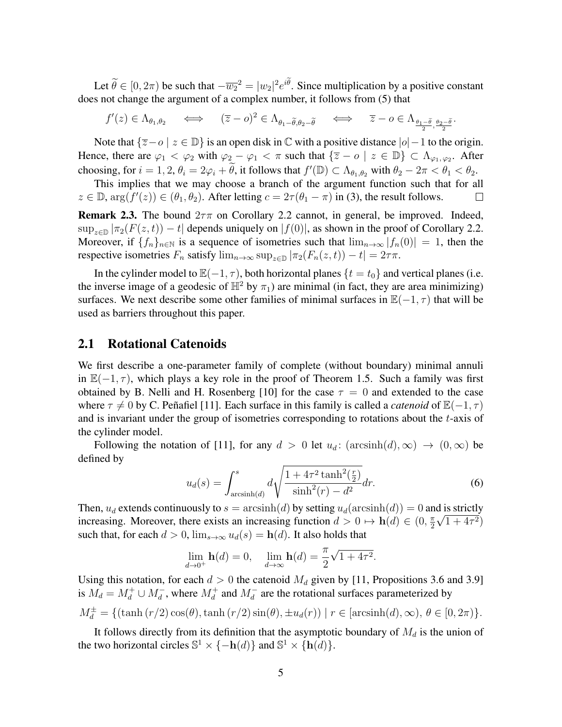Let  $\theta \in [0, 2\pi)$  be such that  $-\overline{w_2}^2 = |w_2|^2 e^{i\theta}$ . Since multiplication by a positive constant does not change the argument of a complex number, it follows from [\(5\)](#page-3-2) that

$$
f'(z) \in \Lambda_{\theta_1, \theta_2} \quad \iff \quad (\overline{z} - o)^2 \in \Lambda_{\theta_1 - \widetilde{\theta}, \theta_2 - \widetilde{\theta}} \quad \iff \quad \overline{z} - o \in \Lambda_{\frac{\theta_1 - \widetilde{\theta}}{2}, \frac{\theta_2 - \widetilde{\theta}}{2}}.
$$

Note that  $\{\overline{z}-o \mid z \in \mathbb{D}\}$  is an open disk in  $\mathbb C$  with a positive distance  $|o|-1$  to the origin. Hence, there are  $\varphi_1 < \varphi_2$  with  $\varphi_2 - \varphi_1 < \pi$  such that  $\{\overline{z} - o \mid z \in \mathbb{D}\}\subset \Lambda_{\varphi_1, \varphi_2}$ . After choosing, for  $i = 1, 2, \theta_i = 2\varphi_i + \tilde{\theta}$ , it follows that  $f'(\mathbb{D}) \subset \Lambda_{\theta_1, \theta_2}$  with  $\theta_2 - 2\pi < \theta_1 < \theta_2$ .

This implies that we may choose a branch of the argument function such that for all  $z \in \mathbb{D}$ ,  $\arg(f'(z)) \in (\theta_1, \theta_2)$ . After letting  $c = 2\tau(\theta_1 - \pi)$  in [\(3\)](#page-3-3), the result follows.  $\Box$ 

<span id="page-4-0"></span>**Remark 2.3.** The bound  $2\tau\pi$  on Corollary [2.2](#page-3-1) cannot, in general, be improved. Indeed,  $\sup_{z\in\mathbb{D}}|\pi_2(F(z,t))-t|$  depends uniquely on  $|f(0)|$ , as shown in the proof of Corollary [2.2.](#page-3-1) Moreover, if  ${f_n}_{n\in\mathbb{N}}$  is a sequence of isometries such that  $\lim_{n\to\infty} |f_n(0)| = 1$ , then the respective isometries  $F_n$  satisfy  $\lim_{n\to\infty} \sup_{z\in\mathbb{D}} |\pi_2(F_n(z,t)) - t| = 2\tau\pi$ .

In the cylinder model to  $\mathbb{E}(-1, \tau)$ , both horizontal planes { $t = t_0$ } and vertical planes (i.e. the inverse image of a geodesic of  $\mathbb{H}^2$  by  $\pi_1$ ) are minimal (in fact, they are area minimizing) surfaces. We next describe some other families of minimal surfaces in  $\mathbb{E}(-1, \tau)$  that will be used as barriers throughout this paper.

#### <span id="page-4-1"></span>2.1 Rotational Catenoids

We first describe a one-parameter family of complete (without boundary) minimal annuli in  $\mathbb{E}(-1, \tau)$ , which plays a key role in the proof of Theorem [1.5.](#page-2-0) Such a family was first obtained by B. Nelli and H. Rosenberg [\[10\]](#page-18-0) for the case  $\tau = 0$  and extended to the case where  $\tau \neq 0$  by C. Peñafiel [\[11\]](#page-18-3). Each surface in this family is called a *catenoid* of  $\mathbb{E}(-1, \tau)$ and is invariant under the group of isometries corresponding to rotations about the t-axis of the cylinder model.

<span id="page-4-2"></span>Following the notation of [\[11\]](#page-18-3), for any  $d > 0$  let  $u_d$ : (arcsinh $(d)$ ,  $\infty$ )  $\rightarrow$   $(0, \infty)$  be defined by

$$
u_d(s) = \int_{\arcsinh(d)}^s d\sqrt{\frac{1 + 4\tau^2 \tanh^2(\frac{r}{2})}{\sinh^2(r) - d^2}} dr.
$$
 (6)

Then,  $u_d$  extends continuously to  $s = \operatorname{arcsinh}(d)$  by setting  $u_d(\operatorname{arcsinh}(d)) = 0$  and is strictly increasing. Moreover, there exists an increasing function  $d > 0 \mapsto h(d) \in (0, \frac{\pi}{2})$  $\frac{\pi}{2}\sqrt{1+4\tau^2}$ such that, for each  $d > 0$ ,  $\lim_{s \to \infty} u_d(s) = h(d)$ . It also holds that

$$
\lim_{d \to 0^+} \mathbf{h}(d) = 0, \quad \lim_{d \to \infty} \mathbf{h}(d) = \frac{\pi}{2} \sqrt{1 + 4\tau^2}.
$$

Using this notation, for each  $d > 0$  the catenoid  $M_d$  given by [\[11,](#page-18-3) Propositions 3.6 and 3.9] is  $M_d = M_d^+ \cup M_d^-$ , where  $M_d^+$  and  $M_d^-$  are the rotational surfaces parameterized by  $M_d^{\pm} = \{(\tanh(r/2)\cos(\theta), \tanh(r/2)\sin(\theta), \pm u_d(r)) \mid r \in [\arcsinh(d), \infty), \theta \in [0, 2\pi)\}.$ 

It follows directly from its definition that the asymptotic boundary of  $M_d$  is the union of the two horizontal circles  $\mathbb{S}^1 \times \{-h(d)\}\$  and  $\mathbb{S}^1 \times \{h(d)\}\$ .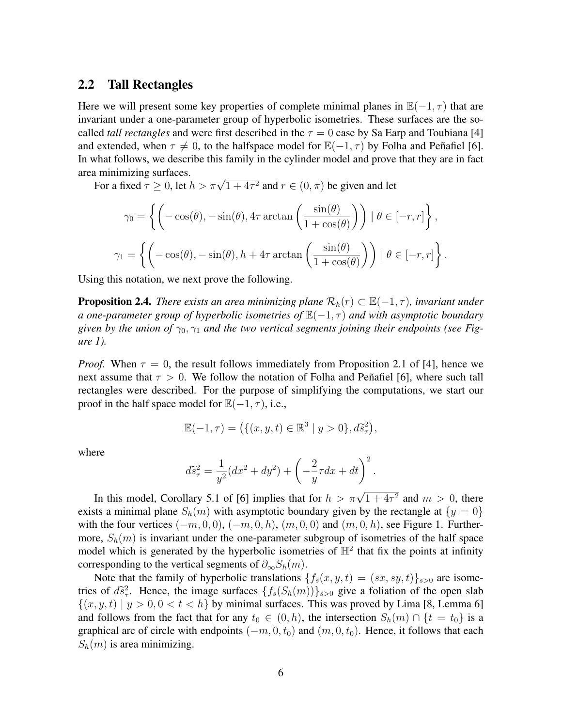#### 2.2 Tall Rectangles

Here we will present some key properties of complete minimal planes in  $\mathbb{E}(-1, \tau)$  that are invariant under a one-parameter group of hyperbolic isometries. These surfaces are the socalled *tall rectangles* and were first described in the  $\tau = 0$  case by Sa Earp and Toubiana [\[4\]](#page-17-0) and extended, when  $\tau \neq 0$ , to the halfspace model for  $\mathbb{E}(-1, \tau)$  by Folha and Penafiel [\[6\]](#page-17-5). In what follows, we describe this family in the cylinder model and prove that they are in fact area minimizing surfaces.

a minimizing surfaces.<br>For a fixed  $\tau \geq 0$ , let  $h > \pi \sqrt{1 + 4\tau^2}$  and  $r \in (0, \pi)$  be given and let

$$
\gamma_0 = \left\{ \left( -\cos(\theta), -\sin(\theta), 4\tau \arctan\left(\frac{\sin(\theta)}{1 + \cos(\theta)}\right) \right) \mid \theta \in [-r, r] \right\},\
$$

$$
\gamma_1 = \left\{ \left( -\cos(\theta), -\sin(\theta), h + 4\tau \arctan\left(\frac{\sin(\theta)}{1 + \cos(\theta)}\right) \right) \mid \theta \in [-r, r] \right\}.
$$

Using this notation, we next prove the following.

<span id="page-5-0"></span>**Proposition 2.4.** *There exists an area minimizing plane*  $\mathcal{R}_h(r) \subset \mathbb{E}(-1,\tau)$ *, invariant under a one-parameter group of hyperbolic isometries of*  $\mathbb{E}(-1, τ)$  *and with asymptotic boundary* given by the union of  $\gamma_0$ ,  $\gamma_1$  and the two vertical segments joining their endpoints (see Fig*ure [1\)](#page-6-1).*

*Proof.* When  $\tau = 0$ , the result follows immediately from Proposition 2.1 of [\[4\]](#page-17-0), hence we next assume that  $\tau > 0$ . We follow the notation of Folha and Peñafiel [\[6\]](#page-17-5), where such tall rectangles were described. For the purpose of simplifying the computations, we start our proof in the half space model for  $\mathbb{E}(-1, \tau)$ , i.e.,

$$
\mathbb{E}(-1,\tau) = (\{(x,y,t) \in \mathbb{R}^3 \mid y > 0\}, d\tilde{s}^2_{\tau}),
$$

where

$$
d\tilde{s}^{2}_{\tau} = \frac{1}{y^{2}}(dx^{2} + dy^{2}) + \left(-\frac{2}{y}\tau dx + dt\right)^{2}.
$$

In this model, Corollary 5.1 of [\[6\]](#page-17-5) implies that for  $h > \pi\sqrt{1+4\tau^2}$  and  $m > 0$ , there exists a minimal plane  $S_h(m)$  with asymptotic boundary given by the rectangle at  $\{y = 0\}$ with the four vertices  $(-m, 0, 0)$ ,  $(-m, 0, h)$ ,  $(m, 0, 0)$  and  $(m, 0, h)$ , see Figure [1.](#page-6-1) Furthermore,  $S_h(m)$  is invariant under the one-parameter subgroup of isometries of the half space model which is generated by the hyperbolic isometries of  $\mathbb{H}^2$  that fix the points at infinity corresponding to the vertical segments of  $\partial_{\infty}S_h(m)$ .

Note that the family of hyperbolic translations  $\{f_s(x, y, t) = (sx, sy, t)\}_{s>0}$  are isometries of  $d\tilde{s}_\tau^2$ . Hence, the image surfaces  $\{f_s(S_h(m))\}_{s>0}$  give a foliation of the open slab<br> $f(x, y, t) |_{s>0} \ge t < h$  by minimal surfaces. This was proved by Lima IS, Lamma 61  $\{(x, y, t) | y > 0, 0 < t < h\}$  by minimal surfaces. This was proved by Lima [\[8,](#page-18-4) Lemma 6] and follows from the fact that for any  $t_0 \in (0, h)$ , the intersection  $S_h(m) \cap \{t = t_0\}$  is a graphical arc of circle with endpoints  $(-m, 0, t_0)$  and  $(m, 0, t_0)$ . Hence, it follows that each  $S_h(m)$  is area minimizing.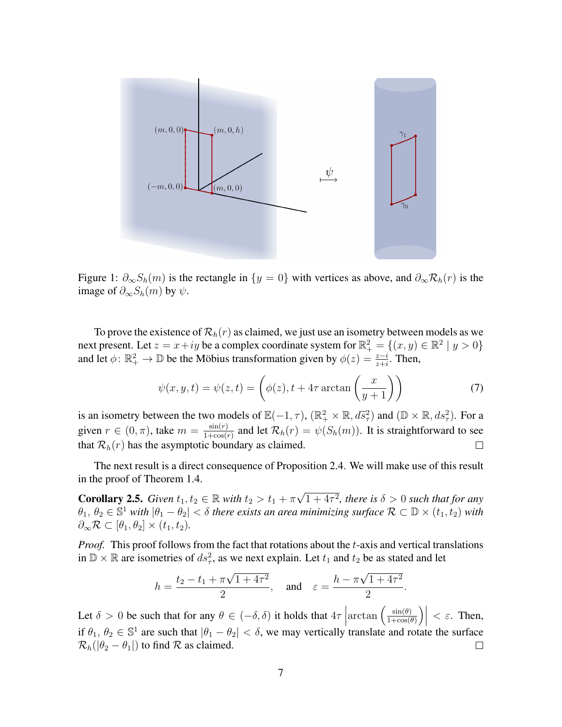

<span id="page-6-1"></span>Figure 1:  $\partial_{\infty}S_h(m)$  is the rectangle in  $\{y = 0\}$  with vertices as above, and  $\partial_{\infty}R_h(r)$  is the image of  $\partial_{\infty}S_h(m)$  by  $\psi$ .

To prove the existence of  $\mathcal{R}_h(r)$  as claimed, we just use an isometry between models as we next present. Let  $z = x + iy$  be a complex coordinate system for  $\mathbb{R}^2_+ = \{(x, y) \in \mathbb{R}^2 \mid y > 0\}$ and let  $\phi: \mathbb{R}^2_+ \to \mathbb{D}$  be the Möbius transformation given by  $\phi(z) = \frac{z-i}{z+i}$ . Then,

<span id="page-6-0"></span>
$$
\psi(x, y, t) = \psi(z, t) = \left(\phi(z), t + 4\tau \arctan\left(\frac{x}{y+1}\right)\right)
$$
\n(7)

is an isometry between the two models of  $\mathbb{E}(-1, \tau)$ ,  $(\mathbb{R}^2_+ \times \mathbb{R}, d\tilde{s}^2_\tau)$  and  $(\mathbb{D} \times \mathbb{R}, ds^2_\tau)$ . For a given  $r \in (0, \pi)$ , take  $m = \frac{\sin(r)}{1 + \cos(r)}$  $\frac{\sin(r)}{1+\cos(r)}$  and let  $\mathcal{R}_h(r) = \psi(S_h(m))$ . It is straightforward to see that  $\mathcal{R}_h(r)$  has the asymptotic boundary as claimed.  $\Box$ 

The next result is a direct consequence of Proposition [2.4.](#page-5-0) We will make use of this result in the proof of Theorem [1.4.](#page-2-3)

<span id="page-6-2"></span>**Corollary 2.5.** *Given*  $t_1, t_2 \in \mathbb{R}$  *with*  $t_2 > t_1 + \pi \sqrt{2}$  $1 + 4\tau^2$ , there is  $\delta > 0$  such that for any  $\theta_1, \theta_2 \in \mathbb{S}^1$  with  $|\theta_1 - \theta_2| < \delta$  there exists an area minimizing surface  $\mathcal{R} \subset \mathbb{D} \times (t_1, t_2)$  with  $\partial_{\infty} \mathcal{R} \subset [\theta_1, \theta_2] \times (t_1, t_2).$ 

*Proof.* This proof follows from the fact that rotations about the t-axis and vertical translations in  $\mathbb{D} \times \mathbb{R}$  are isometries of  $ds^2$ , as we next explain. Let  $t_1$  and  $t_2$  be as stated and let

$$
h = \frac{t_2 - t_1 + \pi\sqrt{1 + 4\tau^2}}{2}
$$
, and  $\varepsilon = \frac{h - \pi\sqrt{1 + 4\tau^2}}{2}$ .

Let  $\delta > 0$  be such that for any  $\theta \in (-\delta, \delta)$  it holds that  $4\tau$  $\arctan\left(\frac{\sin(\theta)}{1+\cos(\theta)}\right)$  $\frac{\sin(\theta)}{1+\cos(\theta)}\Bigg)$  $< \varepsilon$ . Then, if  $\theta_1, \theta_2 \in \mathbb{S}^1$  are such that  $|\theta_1 - \theta_2| < \delta$ , we may vertically translate and rotate the surface  $\mathcal{R}_h(|\theta_2 - \theta_1|)$  to find  $\mathcal R$  as claimed.  $\Box$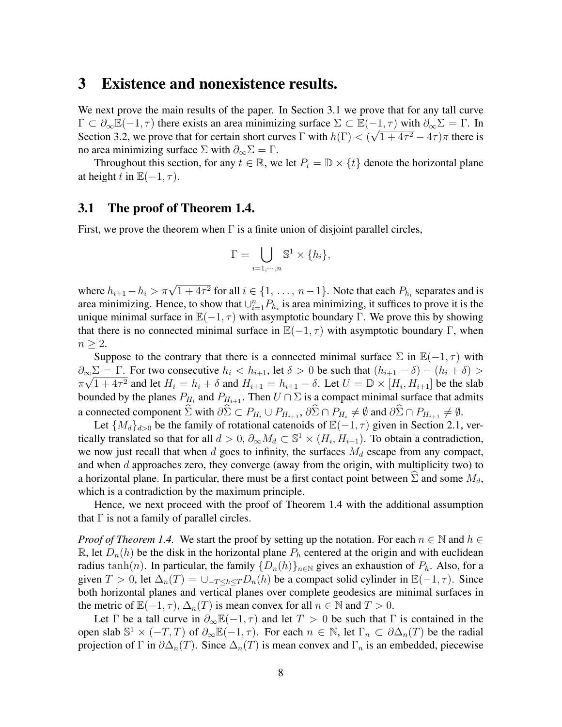### <span id="page-7-0"></span>3 Existence and nonexistence results.

We next prove the main results of the paper. In Section [3.1](#page-7-1) we prove that for any tall curve  $\Gamma \subset \partial_{\infty} \mathbb{E}(-1,\tau)$  there exists an area minimizing surface  $\Sigma \subset \mathbb{E}(-1,\tau)$  with  $\partial_{\infty} \Sigma = \Gamma$ . In Section [3.2,](#page-9-0) we prove that for certain short curves  $\Gamma$  with  $h(\Gamma) < (\sqrt{1+4\tau^2-4\tau})\pi$  there is no area minimizing surface  $\Sigma$  with  $\partial_{\infty} \Sigma = \Gamma$ .

Throughout this section, for any  $t \in \mathbb{R}$ , we let  $P_t = \mathbb{D} \times \{t\}$  denote the horizontal plane at height t in  $\mathbb{E}(-1, \tau)$ .

#### <span id="page-7-1"></span>3.1 The proof of Theorem [1.4.](#page-2-3)

First, we prove the theorem when  $\Gamma$  is a finite union of disjoint parallel circles,

$$
\Gamma = \bigcup_{i=1,\cdots,n} \mathbb{S}^1 \times \{h_i\},\
$$

where  $h_{i+1} - h_i > \pi \sqrt{1 + 4\tau^2}$  for all  $i \in \{1, ..., n-1\}$ . Note that each  $P_{h_i}$  separates and is area minimizing. Hence, to show that  $\cup_{i=1}^{n} P_{h_i}$  is area minimizing, it suffices to prove it is the unique minimal surface in  $\mathbb{E}(-1, \tau)$  with asymptotic boundary Γ. We prove this by showing that there is no connected minimal surface in  $\mathbb{E}(-1, \tau)$  with asymptotic boundary Γ, when  $n \geq 2$ .

Suppose to the contrary that there is a connected minimal surface  $\Sigma$  in  $\mathbb{E}(-1, \tau)$  with  $\partial_{\infty} \Sigma = \Gamma$ . For two consecutive  $h_i < h_{i+1}$ , let  $\delta > 0$  be such that  $(h_{i+1} - \delta) - (h_i + \delta) >$  $\pi\sqrt{1+4\tau^2}$  and let  $H_i = h_i + \delta$  and  $H_{i+1} = h_{i+1} - \delta$ . Let  $U = \mathbb{D} \times [H_i, H_{i+1}]$  be the slab bounded by the planes  $P_{H_i}$  and  $P_{H_{i+1}}$ . Then  $U \cap \Sigma$  is a compact minimal surface that admits a connected component  $\Sigma$  with  $\partial \Sigma \subset P_{H_i} \cup P_{H_{i+1}}, \partial \Sigma \cap P_{H_i} \neq \emptyset$  and  $\partial \Sigma \cap P_{H_{i+1}} \neq \emptyset$ .

Let  $\{M_d\}_{d>0}$  be the family of rotational catenoids of  $\mathbb{E}(-1, \tau)$  given in Section [2.1,](#page-4-1) vertically translated so that for all  $d > 0$ ,  $\partial_{\infty} M_d \subset \mathbb{S}^1 \times (H_i, H_{i+1})$ . To obtain a contradiction, we now just recall that when  $d$  goes to infinity, the surfaces  $M_d$  escape from any compact, and when  $d$  approaches zero, they converge (away from the origin, with multiplicity two) to a horizontal plane. In particular, there must be a first contact point between  $\Sigma$  and some  $M_d$ , which is a contradiction by the maximum principle.

Hence, we next proceed with the proof of Theorem [1.4](#page-2-3) with the additional assumption that  $\Gamma$  is not a family of parallel circles.

*Proof of Theorem [1.4.](#page-2-3)* We start the proof by setting up the notation. For each  $n \in \mathbb{N}$  and  $h \in$ R, let  $D_n(h)$  be the disk in the horizontal plane  $P_h$  centered at the origin and with euclidean radius tanh(n). In particular, the family  $\{D_n(h)\}_{n\in\mathbb{N}}$  gives an exhaustion of  $P_h$ . Also, for a given  $T > 0$ , let  $\Delta_n(T) = \bigcup_{T \leq h \leq T} D_n(h)$  be a compact solid cylinder in  $\mathbb{E}(-1, \tau)$ . Since both horizontal planes and vertical planes over complete geodesics are minimal surfaces in the metric of  $\mathbb{E}(-1, \tau)$ ,  $\Delta_n(T)$  is mean convex for all  $n \in \mathbb{N}$  and  $T > 0$ .

Let  $\Gamma$  be a tall curve in  $\partial_{\infty} \mathbb{E}(-1, \tau)$  and let  $T > 0$  be such that  $\Gamma$  is contained in the open slab  $\mathbb{S}^1 \times (-T, T)$  of  $\partial_{\infty} \mathbb{E}(-1, \tau)$ . For each  $n \in \mathbb{N}$ , let  $\Gamma_n \subset \partial \Delta_n(T)$  be the radial projection of Γ in  $\partial \Delta_n(T)$ . Since  $\Delta_n(T)$  is mean convex and  $\Gamma_n$  is an embedded, piecewise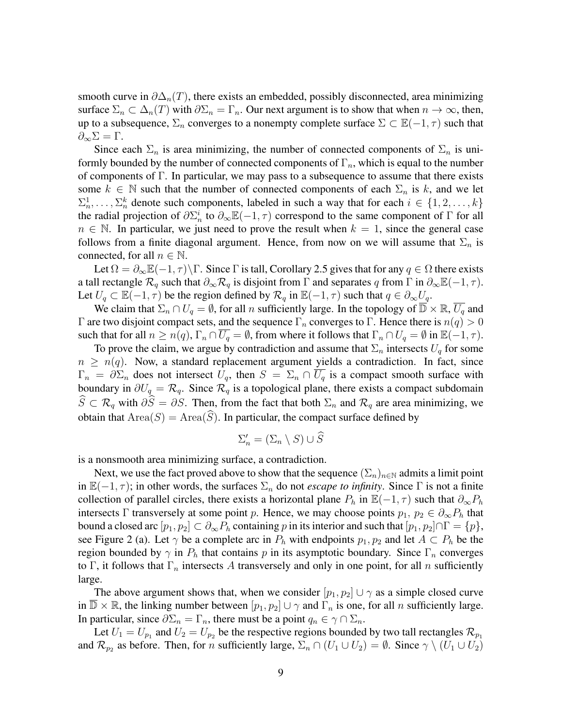smooth curve in  $\partial \Delta_n(T)$ , there exists an embedded, possibly disconnected, area minimizing surface  $\Sigma_n \subset \Delta_n(T)$  with  $\partial \Sigma_n = \Gamma_n$ . Our next argument is to show that when  $n \to \infty$ , then, up to a subsequence,  $\Sigma_n$  converges to a nonempty complete surface  $\Sigma \subset \mathbb{E}(-1, \tau)$  such that  $\partial_{\infty}\Sigma=\Gamma.$ 

Since each  $\Sigma_n$  is area minimizing, the number of connected components of  $\Sigma_n$  is uniformly bounded by the number of connected components of  $\Gamma_n$ , which is equal to the number of components of Γ. In particular, we may pass to a subsequence to assume that there exists some  $k \in \mathbb{N}$  such that the number of connected components of each  $\Sigma_n$  is k, and we let  $\Sigma_n^1, \ldots, \Sigma_n^k$  denote such components, labeled in such a way that for each  $i \in \{1, 2, \ldots, k\}$ the radial projection of  $\partial \Sigma_n^i$  to  $\partial_{\infty} \mathbb{E}(-1, \tau)$  correspond to the same component of  $\Gamma$  for all  $n \in \mathbb{N}$ . In particular, we just need to prove the result when  $k = 1$ , since the general case follows from a finite diagonal argument. Hence, from now on we will assume that  $\Sigma_n$  is connected, for all  $n \in \mathbb{N}$ .

Let  $\Omega = \partial_{\infty} \mathbb{E}(-1, \tau) \backslash \Gamma$ . Since  $\Gamma$  is tall, Corollary [2.5](#page-6-2) gives that for any  $q \in \Omega$  there exists a tall rectangle  $\mathcal{R}_q$  such that  $\partial_{\infty} \mathcal{R}_q$  is disjoint from  $\Gamma$  and separates q from  $\Gamma$  in  $\partial_{\infty} \mathbb{E}(-1, \tau)$ . Let  $U_q \subset \mathbb{E}(-1,\tau)$  be the region defined by  $\mathcal{R}_q$  in  $\mathbb{E}(-1,\tau)$  such that  $q \in \partial_{\infty} U_q$ .

We claim that  $\Sigma_n \cap U_q = \emptyset$ , for all n sufficiently large. In the topology of  $\overline{D} \times \mathbb{R}$ ,  $\overline{U_q}$  and Γ are two disjoint compact sets, and the sequence  $\Gamma_n$  converges to Γ. Hence there is  $n(q) > 0$ such that for all  $n \ge n(q)$ ,  $\Gamma_n \cap \overline{U_q} = \emptyset$ , from where it follows that  $\Gamma_n \cap U_q = \emptyset$  in  $\mathbb{E}(-1, \tau)$ .

To prove the claim, we argue by contradiction and assume that  $\Sigma_n$  intersects  $U_q$  for some  $n \geq n(q)$ . Now, a standard replacement argument yields a contradiction. In fact, since  $\Gamma_n = \partial \Sigma_n$  does not intersect  $U_q$ , then  $S = \Sigma_n \cap \overline{U_q}$  is a compact smooth surface with boundary in  $\partial U_q = \mathcal{R}_q$ . Since  $\mathcal{R}_q$  is a topological plane, there exists a compact subdomain  $\widehat{S} \subset \mathcal{R}_q$  with  $\partial \widehat{S} = \partial S$ . Then, from the fact that both  $\Sigma_n$  and  $\mathcal{R}_q$  are area minimizing, we obtain that  $Area(S) = Area(S)$ . In particular, the compact surface defined by

$$
\Sigma'_n = (\Sigma_n \setminus S) \cup \widehat{S}
$$

is a nonsmooth area minimizing surface, a contradiction.

Next, we use the fact proved above to show that the sequence  $(\Sigma_n)_{n\in\mathbb{N}}$  admits a limit point in  $\mathbb{E}(-1, \tau)$ ; in other words, the surfaces  $\Sigma_n$  do not *escape to infinity*. Since  $\Gamma$  is not a finite collection of parallel circles, there exists a horizontal plane  $P_h$  in  $\mathbb{E}(-1, \tau)$  such that  $\partial_{\infty}P_h$ intersects Γ transversely at some point p. Hence, we may choose points  $p_1, p_2 \in \partial_{\infty}P_h$  that bound a closed arc  $[p_1, p_2] \subset \partial_{\infty} P_h$  containing p in its interior and such that  $[p_1, p_2] \cap \Gamma = \{p\},\$ see Figure [2](#page-9-1) (a). Let  $\gamma$  be a complete arc in  $P_h$  with endpoints  $p_1, p_2$  and let  $A \subset P_h$  be the region bounded by  $\gamma$  in  $P_h$  that contains p in its asymptotic boundary. Since  $\Gamma_n$  converges to Γ, it follows that  $\Gamma_n$  intersects A transversely and only in one point, for all n sufficiently large.

The above argument shows that, when we consider  $[p_1, p_2] \cup \gamma$  as a simple closed curve in  $\overline{\mathbb{D}} \times \mathbb{R}$ , the linking number between  $[p_1, p_2] \cup \gamma$  and  $\Gamma_n$  is one, for all n sufficiently large. In particular, since  $\partial \Sigma_n = \Gamma_n$ , there must be a point  $q_n \in \gamma \cap \Sigma_n$ .

Let  $U_1 = U_{p_1}$  and  $U_2 = U_{p_2}$  be the respective regions bounded by two tall rectangles  $\mathcal{R}_{p_1}$ and  $\mathcal{R}_{p_2}$  as before. Then, for *n* sufficiently large,  $\Sigma_n \cap (U_1 \cup U_2) = \emptyset$ . Since  $\gamma \setminus (U_1 \cup U_2)$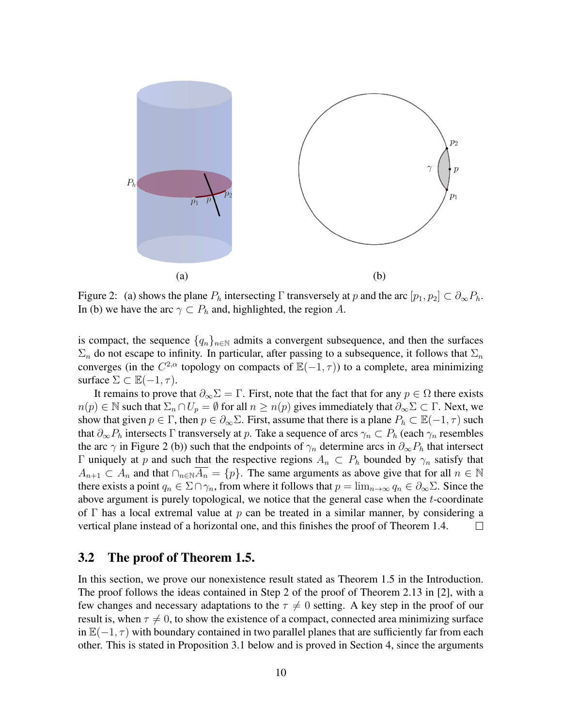

<span id="page-9-1"></span>Figure 2: (a) shows the plane  $P_h$  intersecting Γ transversely at p and the arc  $[p_1, p_2] \subset \partial_{\infty} P_h$ . In (b) we have the arc  $\gamma \subset P_h$  and, highlighted, the region A.

is compact, the sequence  $\{q_n\}_{n\in\mathbb{N}}$  admits a convergent subsequence, and then the surfaces  $\Sigma_n$  do not escape to infinity. In particular, after passing to a subsequence, it follows that  $\Sigma_n$ converges (in the  $C^{2,\alpha}$  topology on compacts of  $\mathbb{E}(-1,\tau)$ ) to a complete, area minimizing surface  $\Sigma \subset \mathbb{E}(-1, \tau)$ .

It remains to prove that  $\partial_{\infty} \Sigma = \Gamma$ . First, note that the fact that for any  $p \in \Omega$  there exists  $n(p) \in \mathbb{N}$  such that  $\Sigma_n \cap U_p = \emptyset$  for all  $n \geq n(p)$  gives immediately that  $\partial_{\infty} \Sigma \subset \Gamma$ . Next, we show that given  $p \in \Gamma$ , then  $p \in \partial_{\infty} \Sigma$ . First, assume that there is a plane  $P_h \subset \mathbb{E}(-1, \tau)$  such that  $\partial_{\infty}P_h$  intersects Γ transversely at p. Take a sequence of arcs  $\gamma_n \subset P_h$  (each  $\gamma_n$  resembles the arc  $\gamma$  in Figure [2](#page-9-1) (b)) such that the endpoints of  $\gamma_n$  determine arcs in  $\partial_{\infty}P_h$  that intersect Γ uniquely at p and such that the respective regions  $A_n \text{ }\subset P_n$  bounded by  $\gamma_n$  satisfy that  $A_{n+1} \subset A_n$  and that  $\bigcap_{n\in\mathbb{N}}\overline{A_n} = \{p\}.$  The same arguments as above give that for all  $n \in \mathbb{N}$ there exists a point  $q_n \in \Sigma \cap \gamma_n$ , from where it follows that  $p = \lim_{n \to \infty} q_n \in \partial_{\infty} \Sigma$ . Since the above argument is purely topological, we notice that the general case when the t-coordinate of Γ has a local extremal value at p can be treated in a similar manner, by considering a vertical plane instead of a horizontal one, and this finishes the proof of Theorem [1.4.](#page-2-3)  $\Box$ 

#### <span id="page-9-0"></span>3.2 The proof of Theorem [1.5.](#page-2-0)

In this section, we prove our nonexistence result stated as Theorem [1.5](#page-2-0) in the Introduction. The proof follows the ideas contained in Step 2 of the proof of Theorem 2.13 in [\[2\]](#page-17-2), with a few changes and necessary adaptations to the  $\tau \neq 0$  setting. A key step in the proof of our result is, when  $\tau \neq 0$ , to show the existence of a compact, connected area minimizing surface in  $\mathbb{E}(-1, \tau)$  with boundary contained in two parallel planes that are sufficiently far from each other. This is stated in Proposition [3.1](#page-10-0) below and is proved in Section [4,](#page-12-0) since the arguments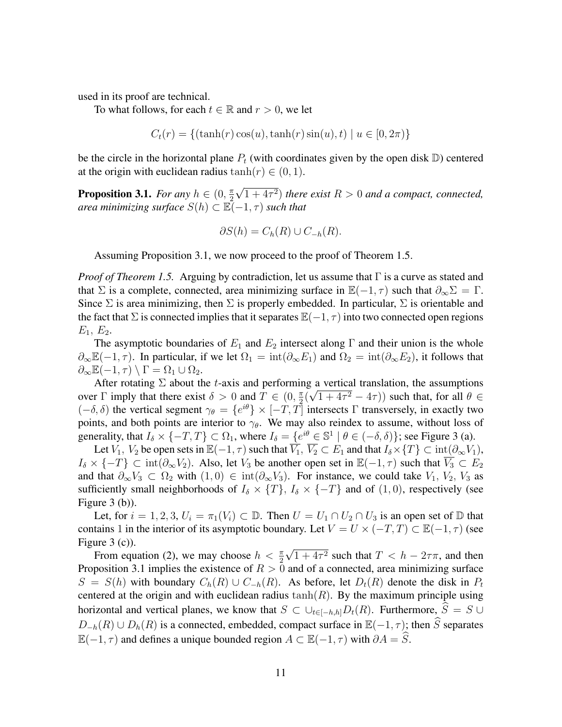used in its proof are technical.

To what follows, for each  $t \in \mathbb{R}$  and  $r > 0$ , we let

$$
C_t(r) = \{(\tanh(r)\cos(u), \tanh(r)\sin(u), t) \mid u \in [0, 2\pi)\}\
$$

be the circle in the horizontal plane  $P_t$  (with coordinates given by the open disk  $\mathbb D$ ) centered at the origin with euclidean radius tanh $(r) \in (0, 1)$ .

<span id="page-10-0"></span>**Proposition 3.1.** *For any*  $h \in (0, \frac{\pi}{2})$ 2 √  $(1+4\tau^2)$  *there exist*  $R > 0$  *and a compact, connected, area minimizing surface*  $S(h) \subset \mathbb{E}(-1, \tau)$  *such that* 

$$
\partial S(h) = C_h(R) \cup C_{-h}(R).
$$

Assuming Proposition [3.1,](#page-10-0) we now proceed to the proof of Theorem [1.5.](#page-2-0)

*Proof of Theorem [1.5.](#page-2-0)* Arguing by contradiction, let us assume that Γ is a curve as stated and that  $\Sigma$  is a complete, connected, area minimizing surface in  $\mathbb{E}(-1, \tau)$  such that  $\partial_{\infty} \Sigma = \Gamma$ . Since  $\Sigma$  is area minimizing, then  $\Sigma$  is properly embedded. In particular,  $\Sigma$  is orientable and the fact that  $\Sigma$  is connected implies that it separates  $\mathbb{E}(-1, \tau)$  into two connected open regions  $E_1, E_2.$ 

The asymptotic boundaries of  $E_1$  and  $E_2$  intersect along Γ and their union is the whole  $\partial_{\infty} \mathbb{E}(-1, \tau)$ . In particular, if we let  $\Omega_1 = \text{int}(\partial_{\infty} E_1)$  and  $\Omega_2 = \text{int}(\partial_{\infty} E_2)$ , it follows that  $\partial_{\infty} \mathbb{E}(-1, \tau) \setminus \Gamma = \Omega_1 \cup \Omega_2.$ 

After rotating  $\Sigma$  about the t-axis and performing a vertical translation, the assumptions over  $\Gamma$  imply that there exist  $\delta > 0$  and  $T \in (0, \frac{\pi}{2})$  $\frac{\pi}{2}(\sqrt{1+4\tau^2-4\tau})$  such that, for all  $\theta \in$  $(-\delta, \delta)$  the vertical segment  $\gamma_{\theta} = \{e^{i\theta}\} \times [-T, T]$  intersects  $\Gamma$  transversely, in exactly two points, and both points are interior to  $\gamma_{\theta}$ . We may also reindex to assume, without loss of generality, that  $I_{\delta} \times \{-T, T\} \subset \Omega_1$ , where  $I_{\delta} = \{e^{i\theta} \in \mathbb{S}^1 \mid \theta \in (-\delta, \delta)\}\;$  see Figure [3](#page-11-0) (a).

Let  $V_1$ ,  $V_2$  be open sets in  $\mathbb{E}(-1, \tau)$  such that  $\overline{V_1}$ ,  $\overline{V_2} \subset E_1$  and that  $I_{\delta} \times \{T\} \subset \text{int}(\partial_{\infty} V_1)$ ,  $I_\delta \times \{-T\} \subset \text{int}(\partial_\infty V_2)$ . Also, let  $V_3$  be another open set in  $\mathbb{E}(-1, \tau)$  such that  $\overline{V_3} \subset E_2$ and that  $\partial_{\infty}V_3 \subset \Omega_2$  with  $(1,0) \in \text{int}(\partial_{\infty}V_3)$ . For instance, we could take  $V_1, V_2, V_3$  as sufficiently small neighborhoods of  $I_\delta \times \{T\}$ ,  $I_\delta \times \{-T\}$  and of  $(1, 0)$ , respectively (see Figure [3](#page-11-0) (b)).

Let, for  $i = 1, 2, 3, U_i = \pi_1(V_i) \subset \mathbb{D}$ . Then  $U = U_1 \cap U_2 \cap U_3$  is an open set of  $\mathbb{D}$  that contains 1 in the interior of its asymptotic boundary. Let  $V = U \times (-T, T) \subset \mathbb{E}(-1, \tau)$  (see Figure [3](#page-11-0) (c)). √

From equation [\(2\)](#page-2-1), we may choose  $h < \frac{\pi}{2}$  $1 + 4\tau^2$  such that  $T < h - 2\tau\pi$ , and then Proposition [3.1](#page-10-0) implies the existence of  $R > 0$  and of a connected, area minimizing surface  $S = S(h)$  with boundary  $C_h(R) \cup C_{h}(R)$ . As before, let  $D_t(R)$  denote the disk in  $P_t$ centered at the origin and with euclidean radius  $tanh(R)$ . By the maximum principle using horizontal and vertical planes, we know that  $S \subset \cup_{t \in [-h,h]} D_t(R)$ . Furthermore,  $\hat{S} = S \cup$  $D_{-h}(R) \cup D_h(R)$  is a connected, embedded, compact surface in  $\mathbb{E}(-1, \tau)$ ; then  $\widehat{S}$  separates  $\mathbb{E}(-1, \tau)$  and defines a unique bounded region  $A \subset \mathbb{E}(-1, \tau)$  with  $\partial A = \widehat{S}$ .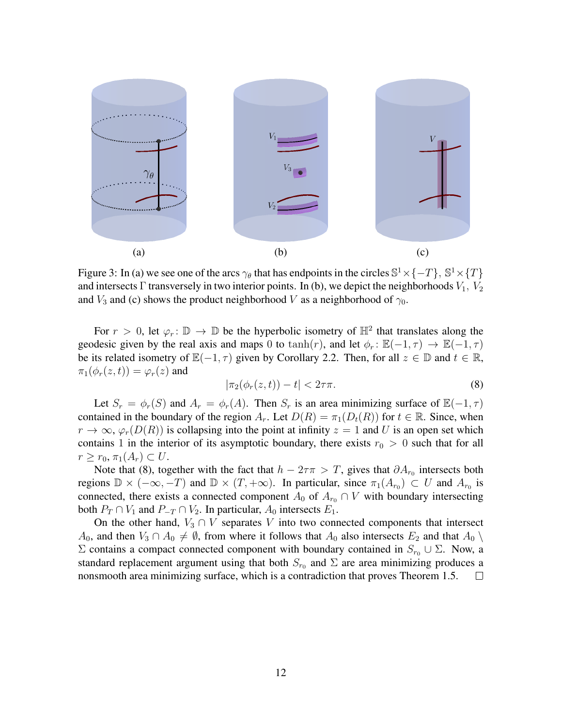

<span id="page-11-0"></span>Figure 3: In (a) we see one of the arcs  $\gamma_\theta$  that has endpoints in the circles  $\mathbb{S}^1 \times \{-T\}$ ,  $\mathbb{S}^1 \times \{T\}$ and intersects Γ transversely in two interior points. In (b), we depict the neighborhoods  $V_1$ ,  $V_2$ and  $V_3$  and (c) shows the product neighborhood V as a neighborhood of  $\gamma_0$ .

For  $r > 0$ , let  $\varphi_r : \mathbb{D} \to \mathbb{D}$  be the hyperbolic isometry of  $\mathbb{H}^2$  that translates along the geodesic given by the real axis and maps 0 to tanh(r), and let  $\phi_r : \mathbb{E}(-1, \tau) \to \mathbb{E}(-1, \tau)$ be its related isometry of  $\mathbb{E}(-1, \tau)$  given by Corollary [2.2.](#page-3-1) Then, for all  $z \in \mathbb{D}$  and  $t \in \mathbb{R}$ ,  $\pi_1(\phi_r(z,t)) = \varphi_r(z)$  and

<span id="page-11-1"></span>
$$
|\pi_2(\phi_r(z,t)) - t| < 2\tau\pi. \tag{8}
$$

Let  $S_r = \phi_r(S)$  and  $A_r = \phi_r(A)$ . Then  $S_r$  is an area minimizing surface of  $\mathbb{E}(-1, \tau)$ contained in the boundary of the region  $A_r$ . Let  $D(R) = \pi_1(D_t(R))$  for  $t \in \mathbb{R}$ . Since, when  $r \to \infty$ ,  $\varphi_r(D(R))$  is collapsing into the point at infinity  $z = 1$  and U is an open set which contains 1 in the interior of its asymptotic boundary, there exists  $r_0 > 0$  such that for all  $r \geq r_0, \pi_1(A_r) \subset U$ .

Note that [\(8\)](#page-11-1), together with the fact that  $h - 2\tau \pi > T$ , gives that  $\partial A_{r_0}$  intersects both regions  $\mathbb{D} \times (-\infty, -T)$  and  $\mathbb{D} \times (T, +\infty)$ . In particular, since  $\pi_1(A_{r_0}) \subset U$  and  $A_{r_0}$  is connected, there exists a connected component  $A_0$  of  $A_{r_0} \cap V$  with boundary intersecting both  $P_T \cap V_1$  and  $P_{-T} \cap V_2$ . In particular,  $A_0$  intersects  $E_1$ .

On the other hand,  $V_3 \cap V$  separates V into two connected components that intersect  $A_0$ , and then  $V_3 \cap A_0 \neq \emptyset$ , from where it follows that  $A_0$  also intersects  $E_2$  and that  $A_0 \setminus$ Σ contains a compact connected component with boundary contained in  $S_{r0}$  ∪ Σ. Now, a standard replacement argument using that both  $S_{r_0}$  and  $\Sigma$  are area minimizing produces a nonsmooth area minimizing surface, which is a contradiction that proves Theorem [1.5.](#page-2-0)  $\Box$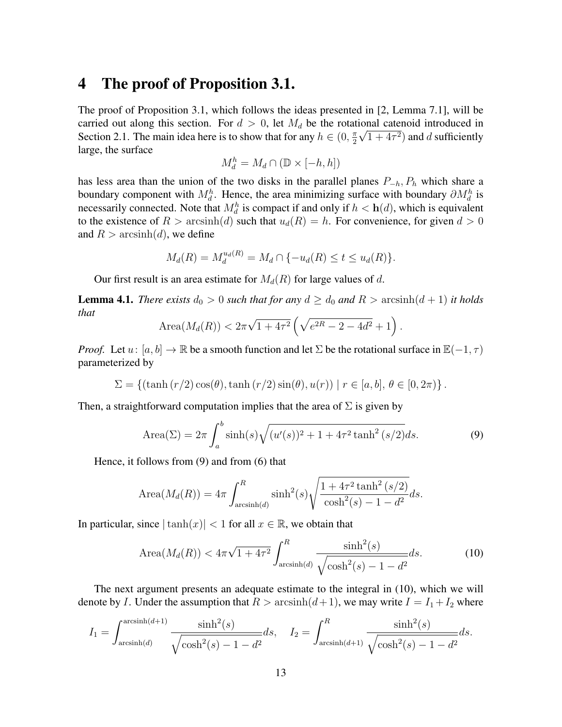### <span id="page-12-0"></span>4 The proof of Proposition [3.1.](#page-10-0)

The proof of Proposition [3.1,](#page-10-0) which follows the ideas presented in [\[2,](#page-17-2) Lemma 7.1], will be carried out along this section. For  $d > 0$ , let  $M_d$  be the rotational catenoid introduced in Section [2.1.](#page-4-1) The main idea here is to show that for any  $h \in (0, \frac{\pi}{2})$  $\frac{\pi}{2}\sqrt{1+4\tau^2}$  and d sufficiently large, the surface

$$
M_d^h = M_d \cap (\mathbb{D} \times [-h, h])
$$

has less area than the union of the two disks in the parallel planes  $P_{-h}$ ,  $P_h$  which share a boundary component with  $M_d^h$ . Hence, the area minimizing surface with boundary  $\partial M_d^h$  is necessarily connected. Note that  $M_d^h$  is compact if and only if  $h < h(d)$ , which is equivalent to the existence of  $R > \arcsinh(d)$  such that  $u_d(R) = h$ . For convenience, for given  $d > 0$ and  $R > \operatorname{arcsinh}(d)$ , we define

$$
M_d(R) = M_d^{u_d(R)} = M_d \cap \{-u_d(R) \le t \le u_d(R)\}.
$$

Our first result is an area estimate for  $M_d(R)$  for large values of d.

<span id="page-12-3"></span>**Lemma 4.1.** *There exists*  $d_0 > 0$  *such that for any*  $d \geq d_0$  *and*  $R > \operatorname{arcsinh}(d+1)$  *it holds that* √

<span id="page-12-1"></span>Area
$$
(M_d(R)) < 2\pi\sqrt{1+4\tau^2} \left(\sqrt{e^{2R}-2-4d^2}+1\right).
$$

*Proof.* Let  $u: [a, b] \to \mathbb{R}$  be a smooth function and let  $\Sigma$  be the rotational surface in  $\mathbb{E}(-1, \tau)$ parameterized by

$$
\Sigma = \{ (\tanh(r/2)\cos(\theta), \tanh(r/2)\sin(\theta), u(r)) \mid r \in [a, b], \theta \in [0, 2\pi) \}.
$$

Then, a straightforward computation implies that the area of  $\Sigma$  is given by

Area(
$$
\Sigma
$$
) =  $2\pi \int_a^b \sinh(s) \sqrt{(u'(s))^2 + 1 + 4\tau^2 \tanh^2(s/2)} ds.$  (9)

Hence, it follows from [\(9\)](#page-12-1) and from [\(6\)](#page-4-2) that

Area
$$
(M_d(R)) = 4\pi \int_{\arcsinh(d)}^R \sinh^2(s) \sqrt{\frac{1 + 4\tau^2 \tanh^2(s/2)}{\cosh^2(s) - 1 - d^2}} ds.
$$

In particular, since  $|\tanh(x)| < 1$  for all  $x \in \mathbb{R}$ , we obtain that

<span id="page-12-2"></span>Area
$$
(M_d(R)) < 4\pi\sqrt{1+4\tau^2} \int_{\arcsinh(d)}^R \frac{\sinh^2(s)}{\sqrt{\cosh^2(s) - 1 - d^2}} ds.
$$
 (10)

The next argument presents an adequate estimate to the integral in [\(10\)](#page-12-2), which we will denote by I. Under the assumption that  $R > \arcsin(1 + 1)$ , we may write  $I = I_1 + I_2$  where

$$
I_1 = \int_{\arcsinh(d)}^{\arcsinh(d+1)} \frac{\sinh^2(s)}{\sqrt{\cosh^2(s) - 1 - d^2}} ds, \quad I_2 = \int_{\arcsinh(d+1)}^R \frac{\sinh^2(s)}{\sqrt{\cosh^2(s) - 1 - d^2}} ds.
$$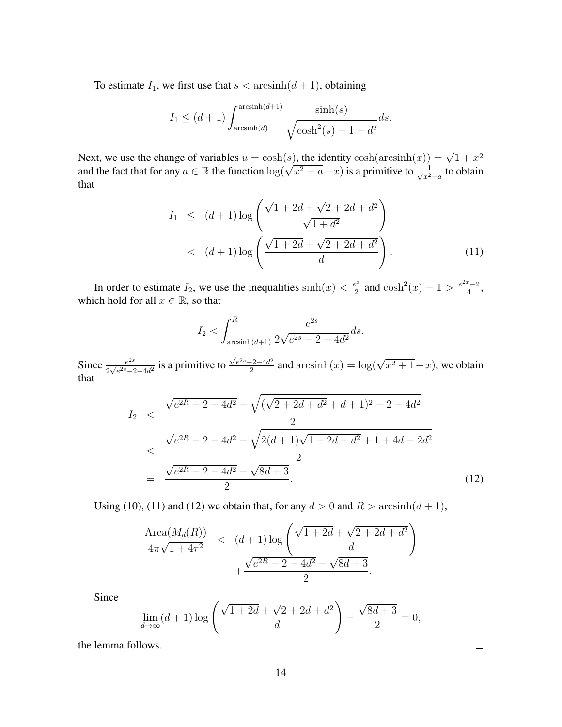To estimate  $I_1$ , we first use that  $s < \operatorname{arcsinh}(d + 1)$ , obtaining

$$
I_1 \le (d+1) \int_{\arcsinh(d)}^{\arcsinh(d+1)} \frac{\sinh(s)}{\sqrt{\cosh^2(s) - 1 - d^2}} ds.
$$

Next, we use the change of variables  $u = \cosh(s)$ , the identity  $\cosh(\arcsinh(x)) = \sqrt{1 + x^2}$ Next, we use the change of variables  $u = \cosh(s)$ , the identity  $\cosh(\arcsin(x))$ <br>and the fact that for any  $a \in \mathbb{R}$  the function  $\log(\sqrt{x^2 - a} + x)$  is a primitive to  $\frac{1}{\sqrt{x^2 - a}}$  $\frac{1}{x^2-a}$  to obtain that

<span id="page-13-0"></span>
$$
I_1 \le (d+1)\log\left(\frac{\sqrt{1+2d} + \sqrt{2+2d+d^2}}{\sqrt{1+d^2}}\right) < (d+1)\log\left(\frac{\sqrt{1+2d} + \sqrt{2+2d+d^2}}{d}\right).
$$
 (11)

In order to estimate  $I_2$ , we use the inequalities  $\sinh(x) < \frac{e^x}{2}$  $\frac{e^{2x}-2}{4}$  and  $\cosh^2(x)-1>\frac{e^{2x}-2}{4}$  $\frac{1}{4}$ , which hold for all  $x \in \mathbb{R}$ , so that

$$
I_2 < \int_{\arcsinh(d+1)}^R \frac{e^{2s}}{2\sqrt{e^{2s} - 2 - 4d^2}} ds.
$$

Since  $\frac{e^{2s}}{2\sqrt{e^{2s}}-e^{2s}}$  $\frac{e^{2s}}{2\sqrt{e^{2s}-2-4d^2}}$  is a primitive to  $\sqrt{e^{2s}-2-4d^2}$  $\frac{1}{2^{2-4d^2}}$  and  $\arcsinh(x) = \log(\sqrt{x^2+1}+x)$ , we obtain that

<span id="page-13-1"></span>
$$
I_2 < \frac{\sqrt{e^{2R} - 2 - 4d^2} - \sqrt{(\sqrt{2 + 2d + d^2} + d + 1)^2 - 2 - 4d^2}}{2}
$$
  
< 
$$
< \frac{\sqrt{e^{2R} - 2 - 4d^2} - \sqrt{2(d + 1)\sqrt{1 + 2d + d^2} + 1 + 4d - 2d^2}}{2}
$$
  

$$
= \frac{\sqrt{e^{2R} - 2 - 4d^2} - \sqrt{8d + 3}}{2}.
$$
 (12)

Using [\(10\)](#page-12-2), [\(11\)](#page-13-0) and [\(12\)](#page-13-1) we obtain that, for any  $d > 0$  and  $R > \operatorname{arcsinh}(d + 1)$ ,

$$
\frac{\text{Area}(M_d(R))}{4\pi\sqrt{1+4\tau^2}} < (d+1)\log\left(\frac{\sqrt{1+2d}+\sqrt{2+2d+d^2}}{d}\right) + \frac{\sqrt{e^{2R}-2-4d^2}-\sqrt{8d+3}}{2}.
$$

Since

$$
\lim_{d \to \infty} (d+1) \log \left( \frac{\sqrt{1+2d} + \sqrt{2+2d+d^2}}{d} \right) - \frac{\sqrt{8d+3}}{2} = 0,
$$

the lemma follows.

 $\Box$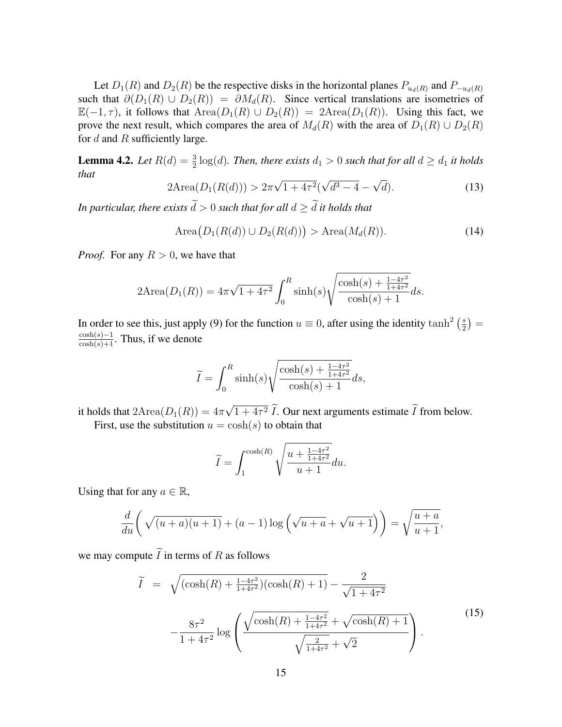Let  $D_1(R)$  and  $D_2(R)$  be the respective disks in the horizontal planes  $P_{u_d(R)}$  and  $P_{-u_d(R)}$ such that  $\partial(D_1(R) \cup D_2(R)) = \partial M_d(R)$ . Since vertical translations are isometries of  $\mathbb{E}(-1, \tau)$ , it follows that  $Area(D_1(R) \cup D_2(R)) = 2Area(D_1(R))$ . Using this fact, we prove the next result, which compares the area of  $M_d(R)$  with the area of  $D_1(R) \cup D_2(R)$ for  $d$  and  $R$  sufficiently large.

<span id="page-14-1"></span>**Lemma 4.2.** Let  $R(d) = \frac{3}{2} \log(d)$ . Then, there exists  $d_1 > 0$  such that for all  $d \geq d_1$  it holds *that* √ √ √

$$
2\text{Area}(D_1(R(d))) > 2\pi\sqrt{1+4\tau^2}(\sqrt{d^3-4}-\sqrt{d}).\tag{13}
$$

*In particular, there exists*  $\widetilde{d} > 0$  *such that for all*  $d > \widetilde{d}$  *it holds that* 

<span id="page-14-2"></span>
$$
\text{Area}\big(D_1(R(d)) \cup D_2(R(d))\big) > \text{Area}(M_d(R)).\tag{14}
$$

*Proof.* For any  $R > 0$ , we have that

$$
2\text{Area}(D_1(R)) = 4\pi\sqrt{1+4\tau^2} \int_0^R \sinh(s) \sqrt{\frac{\cosh(s) + \frac{1-4\tau^2}{1+4\tau^2}}{\cosh(s) + 1}} ds.
$$

In order to see this, just apply [\(9\)](#page-12-1) for the function  $u \equiv 0$ , after using the identity  $\tanh^2\left(\frac{s}{2}\right)$  $\frac{s}{2}) =$  $\frac{\cosh(s)-1}{\cosh(s)+1}$ . Thus, if we denote

$$
\widetilde{I} = \int_0^R \sinh(s) \sqrt{\frac{\cosh(s) + \frac{1 - 4\tau^2}{1 + 4\tau^2}}{\cosh(s) + 1}} ds,
$$

it holds that  $2 \text{Area}(D_1(R)) = 4\pi$ √  $1 + 4\tau^2 I$ . Our next arguments estimate I from below. First, use the substitution  $u = \cosh(s)$  to obtain that

<span id="page-14-0"></span>
$$
\widetilde{I} = \int_{1}^{\cosh(R)} \sqrt{\frac{u + \frac{1 - 4\tau^2}{1 + 4\tau^2}}{u + 1}} du.
$$

Using that for any  $a \in \mathbb{R}$ ,

$$
\frac{d}{du}\left(\sqrt{(u+a)(u+1)}+(a-1)\log\left(\sqrt{u+a}+\sqrt{u+1}\right)\right)=\sqrt{\frac{u+a}{u+1}},
$$

we may compute  $\widetilde{I}$  in terms of R as follows

$$
\widetilde{I} = \sqrt{(\cosh(R) + \frac{1 - 4\tau^2}{1 + 4\tau^2})(\cosh(R) + 1)} - \frac{2}{\sqrt{1 + 4\tau^2}} - \frac{8\tau^2}{1 + 4\tau^2} \log\left(\frac{\sqrt{\cosh(R) + \frac{1 - 4\tau^2}{1 + 4\tau^2}} + \sqrt{\cosh(R) + 1}}{\sqrt{\frac{2}{1 + 4\tau^2}} + \sqrt{2}}\right).
$$
\n(15)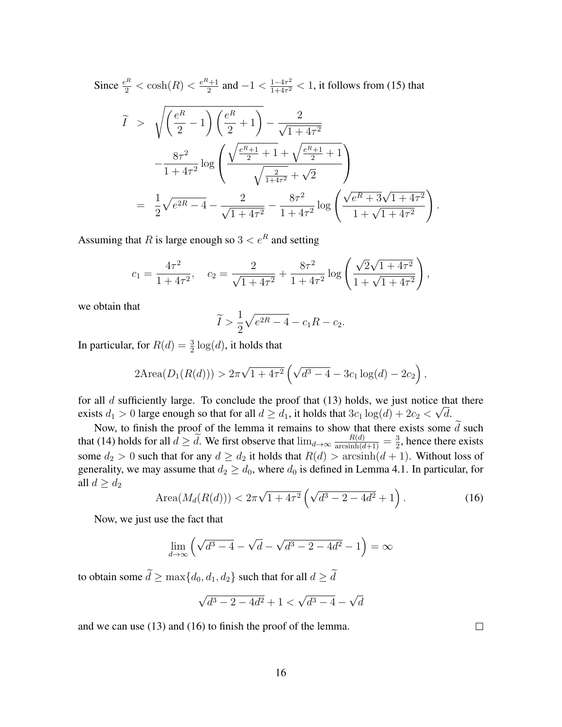Since  $\frac{e^R}{2} < \cosh(R) < \frac{e^R + 1}{2}$  $\frac{2^{i}+1}{2}$  and  $-1 < \frac{1-4\tau^2}{1+4\tau^2}$  $\frac{1-4\tau^2}{1+4\tau^2}$  < 1, it follows from [\(15\)](#page-14-0) that  $I >$  $\sqrt{e^R}$ 2 − 1  $\bigwedge e^R$ 2  $+1) - \frac{2}{\sqrt{2}}$  $1 + 4\tau^2$  $-\frac{8\tau^2}{1+4\tau^2}$  $\frac{0.7}{1 + 4\tau^2} \log$  $\sqrt{ }$  $\mathcal{L}$  $\sqrt{\frac{e^{R}+1}{2}+1} + \sqrt{\frac{e^{R}+1}{2}+1}$  $\sqrt{\frac{2}{1+4\tau^2}} +$ √ 2  $\setminus$  $\overline{1}$ = 1 2  $\sqrt{e^{2R}-4}-\frac{2}{\sqrt{2}}$  $\frac{2}{1+4\tau^2} - \frac{8\tau^2}{1+4\tau^2}$  $\frac{8\tau^2}{1+4\tau^2}\log\left(\frac{1}{2}\right)$  $\frac{e^R + 3\sqrt{1+4\tau^2}}{1+\sqrt{1+4\tau^2}}$  $\setminus$ .

Assuming that R is large enough so  $3 < e^R$  and setting

$$
c_1 = \frac{4\tau^2}{1 + 4\tau^2}, \quad c_2 = \frac{2}{\sqrt{1 + 4\tau^2}} + \frac{8\tau^2}{1 + 4\tau^2} \log\left(\frac{\sqrt{2}\sqrt{1 + 4\tau^2}}{1 + \sqrt{1 + 4\tau^2}}\right),
$$

we obtain that

$$
\widetilde{I} > \frac{1}{2}\sqrt{e^{2R} - 4} - c_1R - c_2.
$$

In particular, for  $R(d) = \frac{3}{2} \log(d)$ , it holds that

$$
2Area(D_1(R(d))) > 2\pi\sqrt{1+4\tau^2} \left(\sqrt{d^3-4} - 3c_1\log(d) - 2c_2\right),
$$

for all d sufficiently large. To conclude the proof that [\(13\)](#page-14-1) holds, we just notice that there exists  $d_1 > 0$  large enough so that for all  $d \geq d_1$ , it holds that  $3c_1 \log(d) + 2c_2 < \sqrt{d}$ .

Now, to finish the proof of the lemma it remains to show that there exists some  $\tilde{d}$  such that [\(14\)](#page-14-2) holds for all  $d \geq \tilde{d}$ . We first observe that  $\lim_{d \to \infty} \frac{R(d)}{\arcsinh(d+1)} = \frac{3}{2}$  $\frac{3}{2}$ , hence there exists some  $d_2 > 0$  such that for any  $d \geq d_2$  it holds that  $R(d) > \arcsinh(d+1)$ . Without loss of generality, we may assume that  $d_2 \geq d_0$ , where  $d_0$  is defined in Lemma [4.1.](#page-12-3) In particular, for all  $d \geq d_2$ 

<span id="page-15-0"></span>Area
$$
(M_d(R(d))) < 2\pi\sqrt{1+4\tau^2} \left(\sqrt{d^3-2-4d^2}+1\right)
$$
. (16)

Now, we just use the fact that

$$
\lim_{d \to \infty} \left( \sqrt{d^3 - 4} - \sqrt{d} - \sqrt{d^3 - 2 - 4d^2} - 1 \right) = \infty
$$

to obtain some  $\tilde{d} \ge \max\{d_0, d_1, d_2\}$  such that for all  $d \ge \tilde{d}$ 

$$
\sqrt{d^3 - 2 - 4d^2} + 1 < \sqrt{d^3 - 4} - \sqrt{d}
$$

and we can use [\(13\)](#page-14-1) and [\(16\)](#page-15-0) to finish the proof of the lemma.

 $\Box$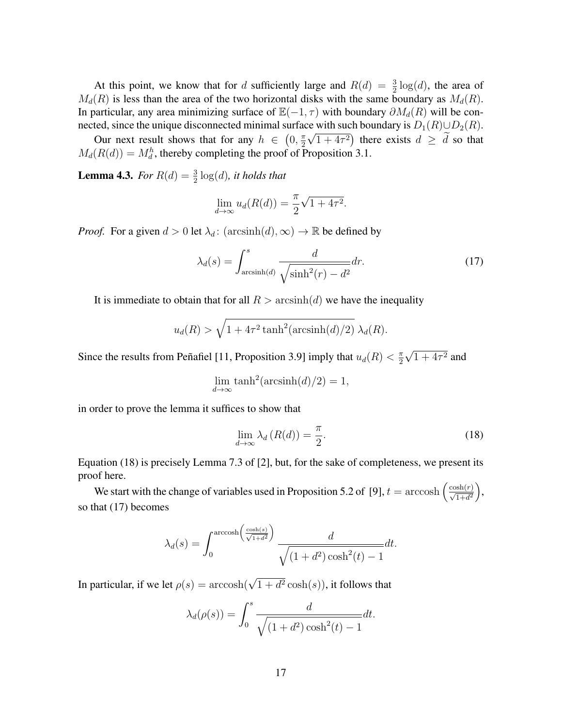At this point, we know that for d sufficiently large and  $R(d) = \frac{3}{2} \log(d)$ , the area of  $M_d(R)$  is less than the area of the two horizontal disks with the same boundary as  $M_d(R)$ . In particular, any area minimizing surface of  $\mathbb{E}(-1, \tau)$  with boundary  $\partial M_d(R)$  will be connected, since the unique disconnected minimal surface with such boundary is  $D_1(R) \cup D_2(R)$ .

Our next result shows that for any  $h \in (0, \frac{\pi}{2})$  $\frac{\pi}{2}\sqrt{1+4\tau^2}$  there exists  $d \geq d$  so that  $M_d(R(d)) = M_d^h$ , thereby completing the proof of Proposition [3.1.](#page-10-0)

**Lemma 4.3.** For  $R(d) = \frac{3}{2} \log(d)$ , it holds that

<span id="page-16-1"></span>
$$
\lim_{d \to \infty} u_d(R(d)) = \frac{\pi}{2} \sqrt{1 + 4\tau^2}.
$$

*Proof.* For a given  $d > 0$  let  $\lambda_d$ :  $(\arcsinh(d), \infty) \to \mathbb{R}$  be defined by

$$
\lambda_d(s) = \int_{\arcsinh(d)}^s \frac{d}{\sqrt{\sinh^2(r) - d^2}} dr.
$$
\n(17)

It is immediate to obtain that for all  $R > \operatorname{arcsinh}(d)$  we have the inequality

$$
u_d(R) > \sqrt{1 + 4\tau^2 \tanh^2(\arcsinh(d)/2)} \lambda_d(R).
$$

Since the results from Peñafiel [\[11,](#page-18-3) Proposition 3.9] imply that  $u_d(R) < \frac{\pi}{2}$ 2 √  $1 + 4\tau^2$  and

$$
\lim_{d \to \infty} \tanh^2(\operatorname{arcsinh}(d)/2) = 1,
$$

in order to prove the lemma it suffices to show that

<span id="page-16-0"></span>
$$
\lim_{d \to \infty} \lambda_d(R(d)) = \frac{\pi}{2}.
$$
\n(18)

Equation [\(18\)](#page-16-0) is precisely Lemma 7.3 of [\[2\]](#page-17-2), but, for the sake of completeness, we present its proof here.

We start with the change of variables used in Proposition 5.2 of [\[9\]](#page-18-5),  $t = \arccosh\left(\frac{\cosh(r)}{\sqrt{1+d^2}}\right)$ , so that [\(17\)](#page-16-1) becomes

$$
\lambda_d(s) = \int_0^{\arccosh\left(\frac{\cosh(s)}{\sqrt{1+d^2}}\right)} \frac{d}{\sqrt{(1+d^2)\cosh^2(t) - 1}} dt.
$$

In particular, if we let  $\rho(s) = \operatorname{arccosh}(\sqrt{1 + d^2} \cosh(s))$ , it follows that

$$
\lambda_d(\rho(s)) = \int_0^s \frac{d}{\sqrt{(1+d^2)\cosh^2(t) - 1}} dt.
$$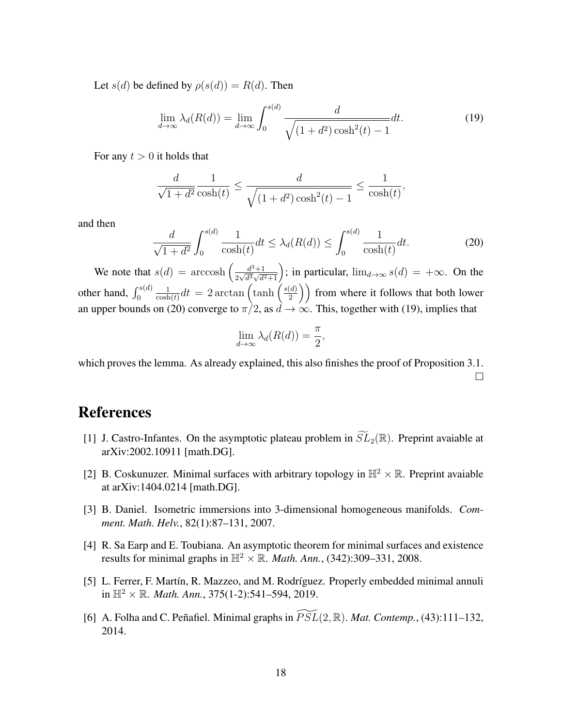Let  $s(d)$  be defined by  $\rho(s(d)) = R(d)$ . Then

<span id="page-17-7"></span>
$$
\lim_{d \to \infty} \lambda_d(R(d)) = \lim_{d \to \infty} \int_0^{s(d)} \frac{d}{\sqrt{(1+d^2)\cosh^2(t) - 1}} dt.
$$
 (19)

For any  $t > 0$  it holds that

$$
\frac{d}{\sqrt{1+d^2}} \frac{1}{\cosh(t)} \le \frac{d}{\sqrt{(1+d^2)\cosh^2(t) - 1}} \le \frac{1}{\cosh(t)},
$$

and then

<span id="page-17-6"></span>
$$
\frac{d}{\sqrt{1+d^2}} \int_0^{s(d)} \frac{1}{\cosh(t)} dt \le \lambda_d(R(d)) \le \int_0^{s(d)} \frac{1}{\cosh(t)} dt. \tag{20}
$$

We note that  $s(d) = \operatorname{arccosh}\left(\frac{d^3+1}{2\sqrt{d^3}\sqrt{d^2}}\right)$  $\frac{d^3+1}{2\sqrt{d^3\sqrt{d^2+1}}}$ ; in particular,  $\lim_{d\to\infty} s(d) = +\infty$ . On the other hand,  $\int_0^{s(d)}$ 1  $\frac{1}{\cosh(t)}dt = 2 \arctan\left(\tanh\left(\frac{s(d)}{2}\right)\right)$  $\binom{d}{2}$ ) from where it follows that both lower an upper bounds on [\(20\)](#page-17-6) converge to  $\pi/2$ , as  $d \to \infty$ . This, together with [\(19\)](#page-17-7), implies that

$$
\lim_{d \to \infty} \lambda_d(R(d)) = \frac{\pi}{2},
$$

which proves the lemma. As already explained, this also finishes the proof of Proposition [3.1.](#page-10-0)  $\Box$ 

## **References**

- <span id="page-17-3"></span>[1] J. Castro-Infantes. On the asymptotic plateau problem in  $\widetilde{SL}_2(\mathbb{R})$ . Preprint avaiable at arXiv:2002.10911 [math.DG].
- <span id="page-17-2"></span>[2] B. Coskunuzer. Minimal surfaces with arbitrary topology in  $\mathbb{H}^2 \times \mathbb{R}$ . Preprint avaiable at arXiv:1404.0214 [math.DG].
- <span id="page-17-4"></span>[3] B. Daniel. Isometric immersions into 3-dimensional homogeneous manifolds. *Comment. Math. Helv.*, 82(1):87–131, 2007.
- <span id="page-17-0"></span>[4] R. Sa Earp and E. Toubiana. An asymptotic theorem for minimal surfaces and existence results for minimal graphs in  $\mathbb{H}^2 \times \mathbb{R}$ . *Math. Ann.*, (342):309–331, 2008.
- <span id="page-17-1"></span>[5] L. Ferrer, F. Martín, R. Mazzeo, and M. Rodríguez. Properly embedded minimal annuli in  $\mathbb{H}^2 \times \mathbb{R}$ . *Math. Ann.*, 375(1-2):541–594, 2019.
- <span id="page-17-5"></span>[6] A. Folha and C. Peñafiel. Minimal graphs in  $\widetilde{PSL}(2,\mathbb{R})$ . *Mat. Contemp.*, (43):111–132, 2014.